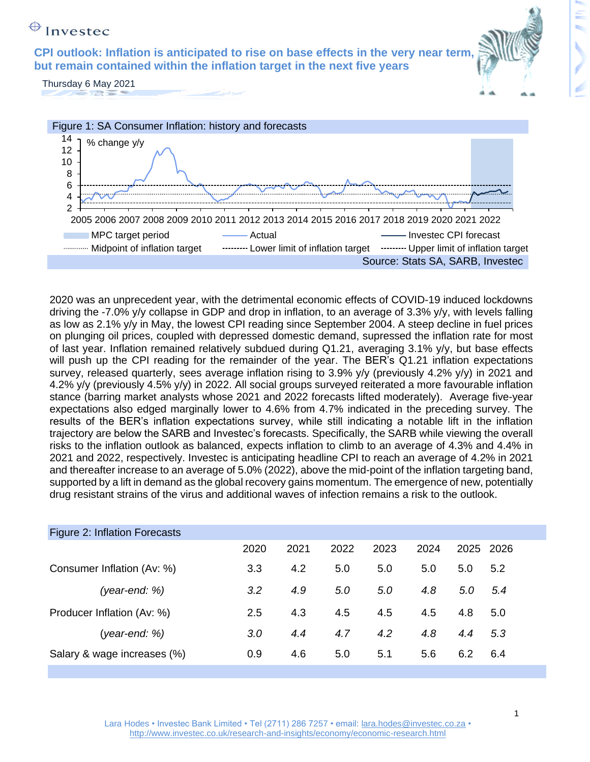**CPI outlook: Inflation is anticipated to rise on base effects in the very near term, but remain contained within the inflation target in the next five years** 



Thursday 6 May 2021



2020 was an unprecedent year, with the detrimental economic effects of COVID-19 induced lockdowns driving the -7.0% y/y collapse in GDP and drop in inflation, to an average of 3.3% y/y, with levels falling as low as 2.1% y/y in May, the lowest CPI reading since September 2004. A steep decline in fuel prices on plunging oil prices, coupled with depressed domestic demand, supressed the inflation rate for most of last year. Inflation remained relatively subdued during Q1.21, averaging 3.1% y/y, but base effects will push up the CPI reading for the remainder of the year. The BER's Q1.21 inflation expectations survey, released quarterly, sees average inflation rising to 3.9% y/y (previously 4.2% y/y) in 2021 and 4.2% y/y (previously 4.5% y/y) in 2022. All social groups surveyed reiterated a more favourable inflation stance (barring market analysts whose 2021 and 2022 forecasts lifted moderately). Average five-year expectations also edged marginally lower to 4.6% from 4.7% indicated in the preceding survey. The results of the BER's inflation expectations survey, while still indicating a notable lift in the inflation trajectory are below the SARB and Investec's forecasts. Specifically, the SARB while viewing the overall risks to the inflation outlook as balanced, expects inflation to climb to an average of 4.3% and 4.4% in 2021 and 2022, respectively. Investec is anticipating headline CPI to reach an average of 4.2% in 2021 and thereafter increase to an average of 5.0% (2022), above the mid-point of the inflation targeting band, supported by a lift in demand as the global recovery gains momentum. The emergence of new, potentially drug resistant strains of the virus and additional waves of infection remains a risk to the outlook.

| Figure 2: Inflation Forecasts |      |      |      |      |      |           |       |
|-------------------------------|------|------|------|------|------|-----------|-------|
|                               | 2020 | 2021 | 2022 | 2023 | 2024 | 2025 2026 |       |
| Consumer Inflation (Av: %)    | 3.3  | 4.2  | 5.0  | 5.0  | 5.0  | 5.0       | 5.2   |
| (year-end: %)                 | 3.2  | 4.9  | 5.0  | 5.0  | 4.8  | 5.0       | - 5.4 |
| Producer Inflation (Av: %)    | 2.5  | 4.3  | 4.5  | 4.5  | 4.5  | 4.8       | 5.0   |
| $(year-end: %)$               | 3.0  | 4.4  | 4.7  | 4.2  | 4.8  | 4.4       | 5.3   |
| Salary & wage increases (%)   | 0.9  | 4.6  | 5.0  | 5.1  | 5.6  | 6.2       | 6.4   |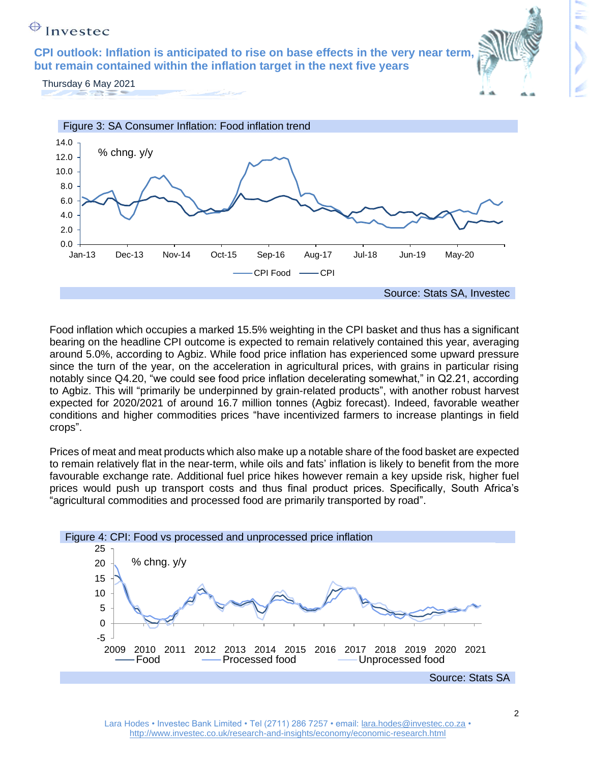**CPI outlook: Inflation is anticipated to rise on base effects in the very near term, but remain contained within the inflation target in the next five years** 



Thursday 6 May 2021



Food inflation which occupies a marked 15.5% weighting in the CPI basket and thus has a significant bearing on the headline CPI outcome is expected to remain relatively contained this year, averaging around 5.0%, according to Agbiz. While food price inflation has experienced some upward pressure since the turn of the year, on the acceleration in agricultural prices, with grains in particular rising notably since Q4.20, "we could see food price inflation decelerating somewhat," in Q2.21, according to Agbiz. This will "primarily be underpinned by grain-related products", with another robust harvest expected for 2020/2021 of around 16.7 million tonnes (Agbiz forecast). Indeed, favorable weather conditions and higher commodities prices "have incentivized farmers to increase plantings in field crops".

Prices of meat and meat products which also make up a notable share of the food basket are expected to remain relatively flat in the near-term, while oils and fats' inflation is likely to benefit from the more favourable exchange rate. Additional fuel price hikes however remain a key upside risk, higher fuel prices would push up transport costs and thus final product prices. Specifically, South Africa's "agricultural commodities and processed food are primarily transported by road".

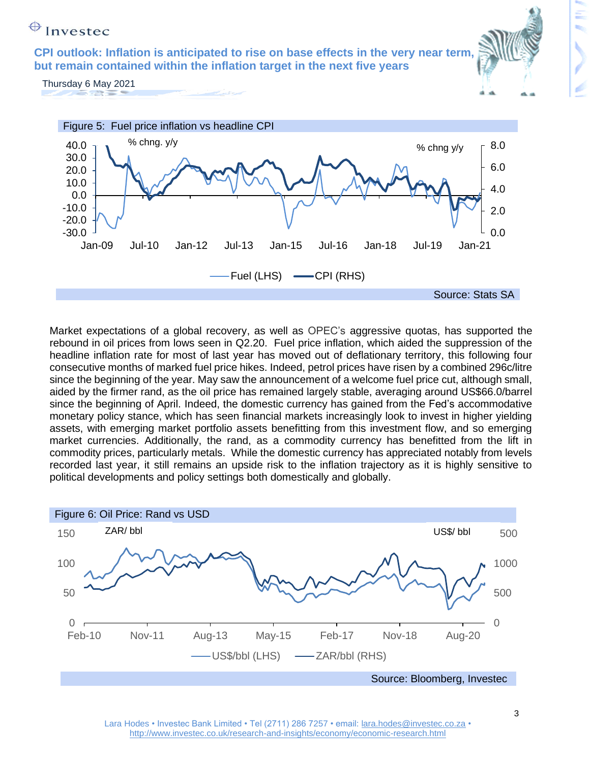**CPI outlook: Inflation is anticipated to rise on base effects in the very near term, but remain contained within the inflation target in the next five years** 

Thursday 6 May 2021



Market expectations of a global recovery, as well as OPEC's aggressive quotas, has supported the rebound in oil prices from lows seen in Q2.20. Fuel price inflation, which aided the suppression of the headline inflation rate for most of last year has moved out of deflationary territory, this following four consecutive months of marked fuel price hikes. Indeed, petrol prices have risen by a combined 296c/litre since the beginning of the year. May saw the announcement of a welcome fuel price cut, although small, aided by the firmer rand, as the oil price has remained largely stable, averaging around US\$66.0/barrel since the beginning of April. Indeed, the domestic currency has gained from the Fed's accommodative monetary policy stance, which has seen financial markets increasingly look to invest in higher yielding assets, with emerging market portfolio assets benefitting from this investment flow, and so emerging market currencies. Additionally, the rand, as a commodity currency has benefitted from the lift in commodity prices, particularly metals. While the domestic currency has appreciated notably from levels recorded last year, it still remains an upside risk to the inflation trajectory as it is highly sensitive to political developments and policy settings both domestically and globally.



3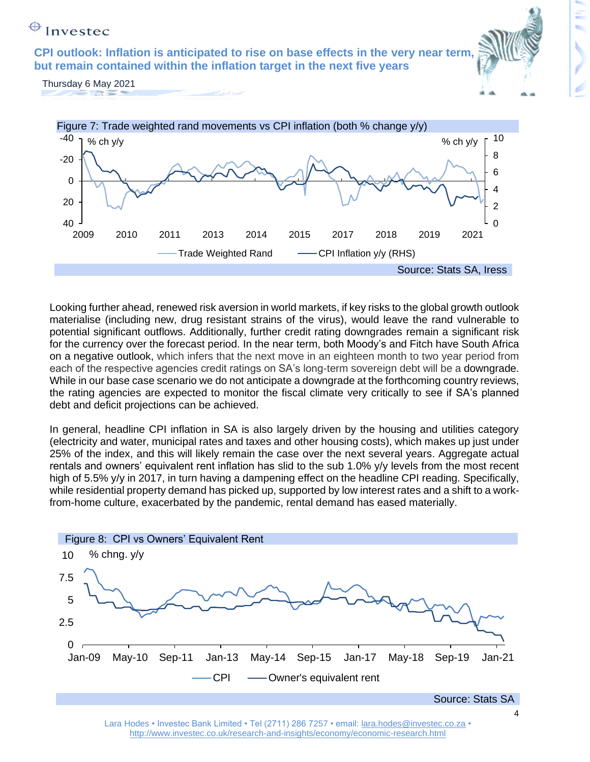**CPI outlook: Inflation is anticipated to rise on base effects in the very near term, but remain contained within the inflation target in the next five years** 

Thursday 6 May 2021



Looking further ahead, renewed risk aversion in world markets, if key risks to the global growth outlook materialise (including new, drug resistant strains of the virus), would leave the rand vulnerable to potential significant outflows. Additionally, further credit rating downgrades remain a significant risk for the currency over the forecast period. In the near term, both Moody's and Fitch have South Africa on a negative outlook, which infers that the next move in an eighteen month to two year period from each of the respective agencies credit ratings on SA's long-term sovereign debt will be a downgrade. While in our base case scenario we do not anticipate a downgrade at the forthcoming country reviews, the rating agencies are expected to monitor the fiscal climate very critically to see if SA's planned debt and deficit projections can be achieved.

In general, headline CPI inflation in SA is also largely driven by the housing and utilities category (electricity and water, municipal rates and taxes and other housing costs), which makes up just under 25% of the index, and this will likely remain the case over the next several years. Aggregate actual rentals and owners' equivalent rent inflation has slid to the sub 1.0% y/y levels from the most recent high of 5.5% y/y in 2017, in turn having a dampening effect on the headline CPI reading. Specifically, while residential property demand has picked up, supported by low interest rates and a shift to a workfrom-home culture, exacerbated by the pandemic, rental demand has eased materially.



Lara Hodes • Investec Bank Limited • Tel (2711) 286 7257 • email: [lara.hodes@investec.co.za](mailto:lara.hodes@investec.co.za) • <http://www.investec.co.uk/research-and-insights/economy/economic-research.html>

4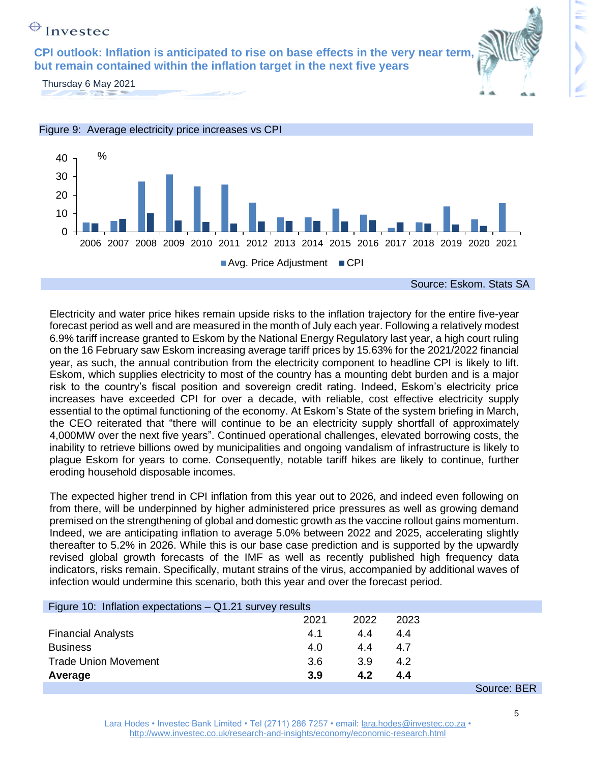**CPI outlook: Inflation is anticipated to rise on base effects in the very near term, but remain contained within the inflation target in the next five years** 



Thursday 6 May 2021



Electricity and water price hikes remain upside risks to the inflation trajectory for the entire five-year forecast period as well and are measured in the month of July each year. Following a relatively modest 6.9% tariff increase granted to Eskom by the National Energy Regulatory last year, a high court ruling on the 16 February saw Eskom increasing average tariff prices by 15.63% for the 2021/2022 financial year, as such, the annual contribution from the electricity component to headline CPI is likely to lift. Eskom, which supplies electricity to most of the country has a mounting debt burden and is a major risk to the country's fiscal position and sovereign credit rating. Indeed, Eskom's electricity price increases have exceeded CPI for over a decade, with reliable, cost effective electricity supply essential to the optimal functioning of the economy. At Eskom's State of the system briefing in March, the CEO reiterated that "there will continue to be an electricity supply shortfall of approximately 4,000MW over the next five years". Continued operational challenges, elevated borrowing costs, the inability to retrieve billions owed by municipalities and ongoing vandalism of infrastructure is likely to plague Eskom for years to come. Consequently, notable tariff hikes are likely to continue, further eroding household disposable incomes.

The expected higher trend in CPI inflation from this year out to 2026, and indeed even following on from there, will be underpinned by higher administered price pressures as well as growing demand premised on the strengthening of global and domestic growth as the vaccine rollout gains momentum. Indeed, we are anticipating inflation to average 5.0% between 2022 and 2025, accelerating slightly thereafter to 5.2% in 2026. While this is our base case prediction and is supported by the upwardly revised global growth forecasts of the IMF as well as recently published high frequency data indicators, risks remain. Specifically, mutant strains of the virus, accompanied by additional waves of infection would undermine this scenario, both this year and over the forecast period.

| Figure 10: Inflation expectations $-$ Q1.21 survey results |      |      |      |                           |  |  |  |  |  |  |
|------------------------------------------------------------|------|------|------|---------------------------|--|--|--|--|--|--|
|                                                            | 2021 | 2022 | 2023 |                           |  |  |  |  |  |  |
| <b>Financial Analysts</b>                                  | 4.1  | 4.4  | 4.4  |                           |  |  |  |  |  |  |
| <b>Business</b>                                            | 4.0  | 4.4  | 4.7  |                           |  |  |  |  |  |  |
| <b>Trade Union Movement</b>                                | 3.6  | 3.9  | 4.2  |                           |  |  |  |  |  |  |
| Average                                                    | 3.9  | 4.2  | 4.4  |                           |  |  |  |  |  |  |
|                                                            |      |      |      | S <sub>OM</sub> irca: RFR |  |  |  |  |  |  |

Source: BER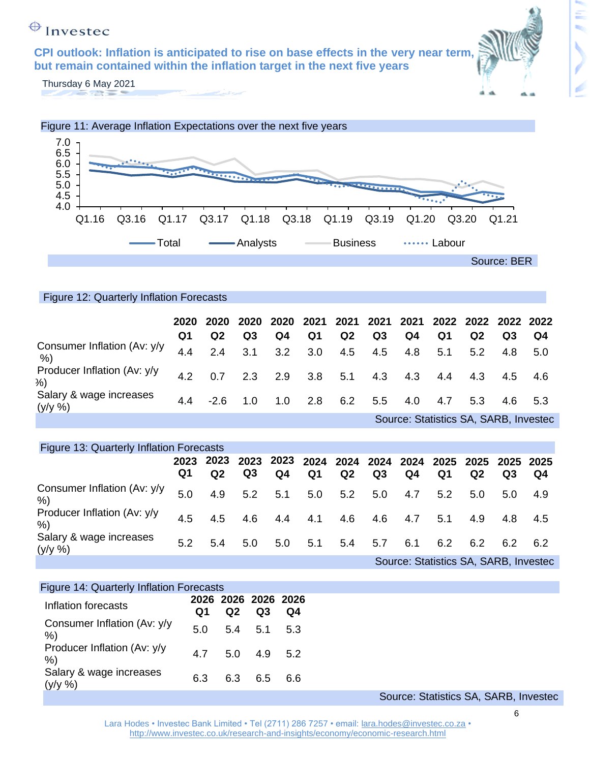**CPI outlook: Inflation is anticipated to rise on base effects in the very near term, but remain contained within the inflation target in the next five years** 



ŧ,

Thursday 6 May 2021



#### Figure 12: Quarterly Inflation Forecasts

|                                       | O1  | 2020 2020<br>Q <sub>2</sub> | Q <sub>3</sub> | Q4          | Q1  | Q <sub>2</sub> | Q <sub>3</sub>  | Q4  | Q1  | Q <sub>2</sub>                        | Q <sub>3</sub> | Q4  |
|---------------------------------------|-----|-----------------------------|----------------|-------------|-----|----------------|-----------------|-----|-----|---------------------------------------|----------------|-----|
| Consumer Inflation (Av: y/y<br>%)     | 4.4 | 2.4                         | 3.1            | 3.2         |     |                | 3.0 4.5 4.5 4.8 |     | 5.1 | 5.2                                   | 4.8            | 5.0 |
| Producer Inflation (Av: y/y)<br>%)    | 4.2 | 0.7                         |                | $2.3$ $2.9$ | 3.8 | 5.1            | 4.3             | 4.3 | 4.4 | 4.3                                   | 4.5 4.6        |     |
| Salary & wage increases<br>$(y/y \%)$ | 44  | $-2.6$                      | 1.0            | 1.0         | 2.8 | 6.2            | 5.5             | 4.0 | 4.7 | 5.3                                   | 4.6 5.3        |     |
|                                       |     |                             |                |             |     |                |                 |     |     | Source: Statistics SA, SARB, Investec |                |     |

| Figure 13: Quarterly Inflation Forecasts |            |                |     |     |                |                 |     |     |     |                                       |                |      |
|------------------------------------------|------------|----------------|-----|-----|----------------|-----------------|-----|-----|-----|---------------------------------------|----------------|------|
|                                          | 2023<br>Q1 | Q <sub>2</sub> | Q3  | Q4  | Q <sub>1</sub> | Q2              | Q3  | Q4  | Q1  | Q <sub>2</sub>                        | Q3             | Q4   |
| Consumer Inflation (Av: y/y<br>%)        | 5.0        | 4.9            | 5.2 | 5.1 |                | $5.0\qquad 5.2$ | 5.0 | 4.7 | 5.2 | 5.0                                   | 5.0            | -4.9 |
| Producer Inflation (Av: y/y<br>%)        | 4.5        | 4.5            | 4.6 | 4.4 |                | 4.1 4.6         | 4.6 | 4.7 | 5.1 | 4.9                                   | 4.8 4.5        |      |
| Salary & wage increases<br>$(y/y \%)$    | 5.2        | 5.4            | 5.0 | 5.0 | 5.1            | 5.4             | 5.7 | 6.1 | 6.2 | 6.2                                   | $6.2\quad 6.2$ |      |
|                                          |            |                |     |     |                |                 |     |     |     | Source: Statistics SA, SARB, Investec |                |      |

| Figure 14: Quarterly Inflation Forecasts |     |     |                           |     |  |                                     |  |
|------------------------------------------|-----|-----|---------------------------|-----|--|-------------------------------------|--|
| Inflation forecasts                      | Q1  | Q2  | 2026 2026 2026 2026<br>Q3 | Q4  |  |                                     |  |
| Consumer Inflation (Av: y/y<br>%         | 5.0 | 5.4 | 5.1                       | 5.3 |  |                                     |  |
| Producer Inflation (Av: y/y<br>%         | 4.7 |     | $5.0$ $4.9$ $5.2$         |     |  |                                     |  |
| Salary & wage increases<br>$(y/y \%)$    | 6.3 | 6.3 | 6.5                       | 6.6 |  |                                     |  |
|                                          |     |     |                           |     |  | Source: Statistics SA SARR Invester |  |

oldiistics SA, SARD, Investe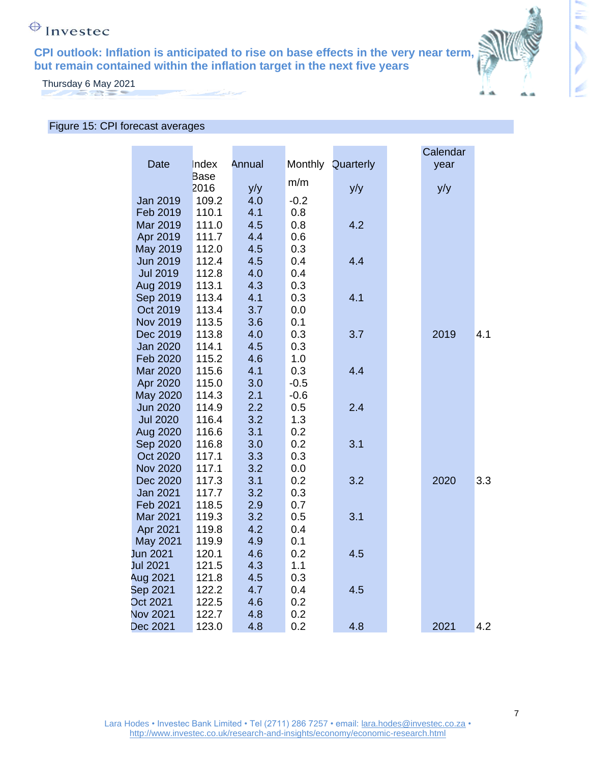**CPI outlook: Inflation is anticipated to rise on base effects in the very near term, but remain contained within the inflation target in the next five years** 



Ξ

×.

Thursday 6 May 2021

#### Figure 15: CPI forecast averages

|                 |             |        |        |                   | Calendar |     |
|-----------------|-------------|--------|--------|-------------------|----------|-----|
| Date            | Index       | Annual |        | Monthly Quarterly | year     |     |
|                 | <b>Base</b> |        |        |                   |          |     |
|                 | 2016        | y/y    | m/m    | y/y               | y/y      |     |
| Jan 2019        | 109.2       | 4.0    | $-0.2$ |                   |          |     |
| Feb 2019        | 110.1       | 4.1    | 0.8    |                   |          |     |
| Mar 2019        | 111.0       | 4.5    | 0.8    | 4.2               |          |     |
| Apr 2019        | 111.7       | 4.4    | 0.6    |                   |          |     |
| May 2019        | 112.0       | 4.5    | 0.3    |                   |          |     |
| <b>Jun 2019</b> | 112.4       | 4.5    | 0.4    | 4.4               |          |     |
| <b>Jul 2019</b> | 112.8       | 4.0    | 0.4    |                   |          |     |
| Aug 2019        | 113.1       | 4.3    | 0.3    |                   |          |     |
| Sep 2019        | 113.4       | 4.1    | 0.3    | 4.1               |          |     |
| Oct 2019        | 113.4       | 3.7    | 0.0    |                   |          |     |
| Nov 2019        | 113.5       | 3.6    | 0.1    |                   |          |     |
| Dec 2019        | 113.8       | 4.0    | 0.3    | 3.7               | 2019     | 4.1 |
| <b>Jan 2020</b> | 114.1       | 4.5    | 0.3    |                   |          |     |
| Feb 2020        | 115.2       | 4.6    | 1.0    |                   |          |     |
| Mar 2020        | 115.6       | 4.1    | 0.3    | 4.4               |          |     |
| Apr 2020        | 115.0       | 3.0    | $-0.5$ |                   |          |     |
| May 2020        | 114.3       | 2.1    | $-0.6$ |                   |          |     |
| <b>Jun 2020</b> | 114.9       | 2.2    | 0.5    | 2.4               |          |     |
| <b>Jul 2020</b> | 116.4       | 3.2    | 1.3    |                   |          |     |
| Aug 2020        | 116.6       | 3.1    | 0.2    |                   |          |     |
| Sep 2020        | 116.8       | 3.0    | 0.2    | 3.1               |          |     |
| Oct 2020        | 117.1       | 3.3    | 0.3    |                   |          |     |
| <b>Nov 2020</b> | 117.1       | 3.2    | 0.0    |                   |          |     |
| Dec 2020        | 117.3       | 3.1    | 0.2    | 3.2               | 2020     | 3.3 |
| Jan 2021        | 117.7       | 3.2    | 0.3    |                   |          |     |
| Feb 2021        | 118.5       | 2.9    | 0.7    |                   |          |     |
| Mar 2021        | 119.3       | 3.2    | 0.5    | 3.1               |          |     |
| Apr 2021        | 119.8       | 4.2    | 0.4    |                   |          |     |
| May 2021        | 119.9       | 4.9    | 0.1    |                   |          |     |
| Jun 2021        | 120.1       | 4.6    | 0.2    | 4.5               |          |     |
| Jul 2021        | 121.5       | 4.3    | 1.1    |                   |          |     |
| Aug 2021        | 121.8       | 4.5    | 0.3    |                   |          |     |
| Sep 2021        | 122.2       | 4.7    | 0.4    | 4.5               |          |     |
| Oct 2021        | 122.5       | 4.6    | 0.2    |                   |          |     |
| <b>Nov 2021</b> | 122.7       | 4.8    | 0.2    |                   |          |     |
| Dec 2021        | 123.0       | 4.8    | 0.2    | 4.8               | 2021     | 4.2 |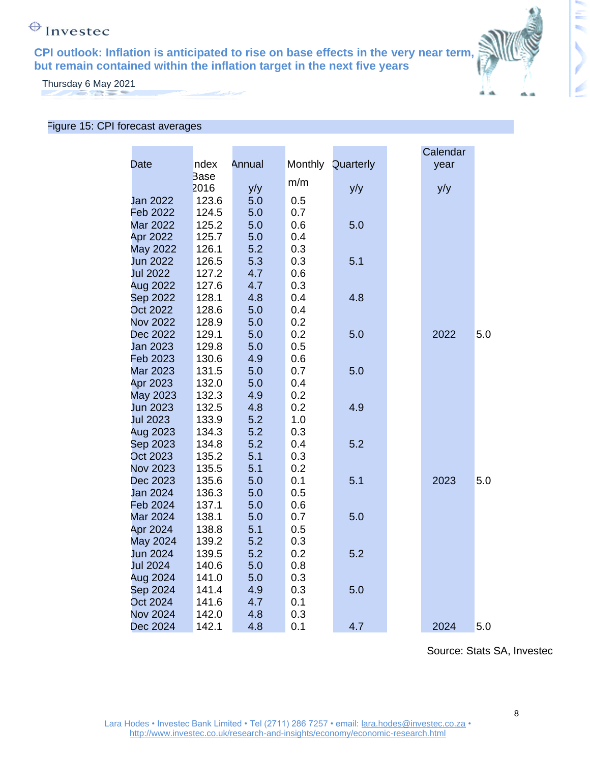**CPI outlook: Inflation is anticipated to rise on base effects in the very near term, but remain contained within the inflation target in the next five years** 



Ξ

ŧ,

Thursday 6 May 2021

#### Figure 15: CPI forecast averages

|                 |       |        |     |                   | Calendar |     |
|-----------------|-------|--------|-----|-------------------|----------|-----|
| Date            | Index | Annual |     | Monthly Quarterly | year     |     |
|                 | Base  |        | m/m |                   |          |     |
|                 | 2016  | y/y    |     | y/y               | y/y      |     |
| Jan 2022        | 123.6 | 5.0    | 0.5 |                   |          |     |
| Feb 2022        | 124.5 | 5.0    | 0.7 |                   |          |     |
| <b>Mar 2022</b> | 125.2 | 5.0    | 0.6 | 5.0               |          |     |
| Apr 2022        | 125.7 | 5.0    | 0.4 |                   |          |     |
| <b>May 2022</b> | 126.1 | 5.2    | 0.3 |                   |          |     |
| Jun 2022        | 126.5 | 5.3    | 0.3 | 5.1               |          |     |
| Jul 2022        | 127.2 | 4.7    | 0.6 |                   |          |     |
| Aug 2022        | 127.6 | 4.7    | 0.3 |                   |          |     |
| Sep 2022        | 128.1 | 4.8    | 0.4 | 4.8               |          |     |
| <b>Oct 2022</b> | 128.6 | 5.0    | 0.4 |                   |          |     |
| <b>Nov 2022</b> | 128.9 | 5.0    | 0.2 |                   |          |     |
| Dec 2022        | 129.1 | 5.0    | 0.2 | 5.0               | 2022     | 5.0 |
| Jan 2023        | 129.8 | 5.0    | 0.5 |                   |          |     |
| Feb 2023        | 130.6 | 4.9    | 0.6 |                   |          |     |
| <b>Mar 2023</b> | 131.5 | 5.0    | 0.7 | 5.0               |          |     |
| Apr 2023        | 132.0 | 5.0    | 0.4 |                   |          |     |
| May 2023        | 132.3 | 4.9    | 0.2 |                   |          |     |
| Jun 2023        | 132.5 | 4.8    | 0.2 | 4.9               |          |     |
| Jul 2023        | 133.9 | 5.2    | 1.0 |                   |          |     |
| <b>Aug 2023</b> | 134.3 | 5.2    | 0.3 |                   |          |     |
| Sep 2023        | 134.8 | 5.2    | 0.4 | 5.2               |          |     |
| Oct 2023        | 135.2 | 5.1    | 0.3 |                   |          |     |
| <b>Nov 2023</b> | 135.5 | 5.1    | 0.2 |                   |          |     |
| Dec 2023        | 135.6 | 5.0    | 0.1 | 5.1               | 2023     | 5.0 |
| Jan 2024        | 136.3 | 5.0    | 0.5 |                   |          |     |
| Feb 2024        | 137.1 | 5.0    | 0.6 |                   |          |     |
| <b>Mar 2024</b> | 138.1 | 5.0    | 0.7 | 5.0               |          |     |
| Apr 2024        | 138.8 | 5.1    | 0.5 |                   |          |     |
| May 2024        | 139.2 | 5.2    | 0.3 |                   |          |     |
| Jun 2024        | 139.5 | 5.2    | 0.2 | 5.2               |          |     |
| Jul 2024        | 140.6 | 5.0    | 0.8 |                   |          |     |
| Aug 2024        | 141.0 | 5.0    | 0.3 |                   |          |     |
| Sep 2024        | 141.4 | 4.9    | 0.3 | 5.0               |          |     |
| Oct 2024        | 141.6 | 4.7    | 0.1 |                   |          |     |
| <b>Nov 2024</b> | 142.0 | 4.8    | 0.3 |                   |          |     |
| Dec 2024        | 142.1 | 4.8    | 0.1 | 4.7               | 2024     | 5.0 |

Source: Stats SA, Investec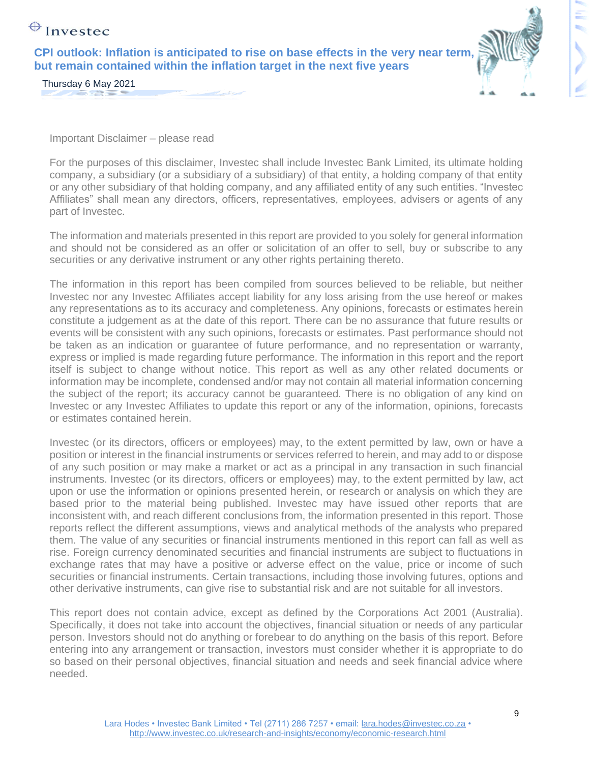**CPI outlook: Inflation is anticipated to rise on base effects in the very near term, but remain contained within the inflation target in the next five years** 



Thursday 6 May 2021  $\sim$   $\sim$ 

Important Disclaimer – please read

For the purposes of this disclaimer, Investec shall include Investec Bank Limited, its ultimate holding company, a subsidiary (or a subsidiary of a subsidiary) of that entity, a holding company of that entity or any other subsidiary of that holding company, and any affiliated entity of any such entities. "Investec Affiliates" shall mean any directors, officers, representatives, employees, advisers or agents of any part of Investec.

The information and materials presented in this report are provided to you solely for general information and should not be considered as an offer or solicitation of an offer to sell, buy or subscribe to any securities or any derivative instrument or any other rights pertaining thereto.

The information in this report has been compiled from sources believed to be reliable, but neither Investec nor any Investec Affiliates accept liability for any loss arising from the use hereof or makes any representations as to its accuracy and completeness. Any opinions, forecasts or estimates herein constitute a judgement as at the date of this report. There can be no assurance that future results or events will be consistent with any such opinions, forecasts or estimates. Past performance should not be taken as an indication or guarantee of future performance, and no representation or warranty, express or implied is made regarding future performance. The information in this report and the report itself is subject to change without notice. This report as well as any other related documents or information may be incomplete, condensed and/or may not contain all material information concerning the subject of the report; its accuracy cannot be guaranteed. There is no obligation of any kind on Investec or any Investec Affiliates to update this report or any of the information, opinions, forecasts or estimates contained herein.

Investec (or its directors, officers or employees) may, to the extent permitted by law, own or have a position or interest in the financial instruments or services referred to herein, and may add to or dispose of any such position or may make a market or act as a principal in any transaction in such financial instruments. Investec (or its directors, officers or employees) may, to the extent permitted by law, act upon or use the information or opinions presented herein, or research or analysis on which they are based prior to the material being published. Investec may have issued other reports that are inconsistent with, and reach different conclusions from, the information presented in this report. Those reports reflect the different assumptions, views and analytical methods of the analysts who prepared them. The value of any securities or financial instruments mentioned in this report can fall as well as rise. Foreign currency denominated securities and financial instruments are subject to fluctuations in exchange rates that may have a positive or adverse effect on the value, price or income of such securities or financial instruments. Certain transactions, including those involving futures, options and other derivative instruments, can give rise to substantial risk and are not suitable for all investors.

This report does not contain advice, except as defined by the Corporations Act 2001 (Australia). Specifically, it does not take into account the objectives, financial situation or needs of any particular person. Investors should not do anything or forebear to do anything on the basis of this report. Before entering into any arrangement or transaction, investors must consider whether it is appropriate to do so based on their personal objectives, financial situation and needs and seek financial advice where needed.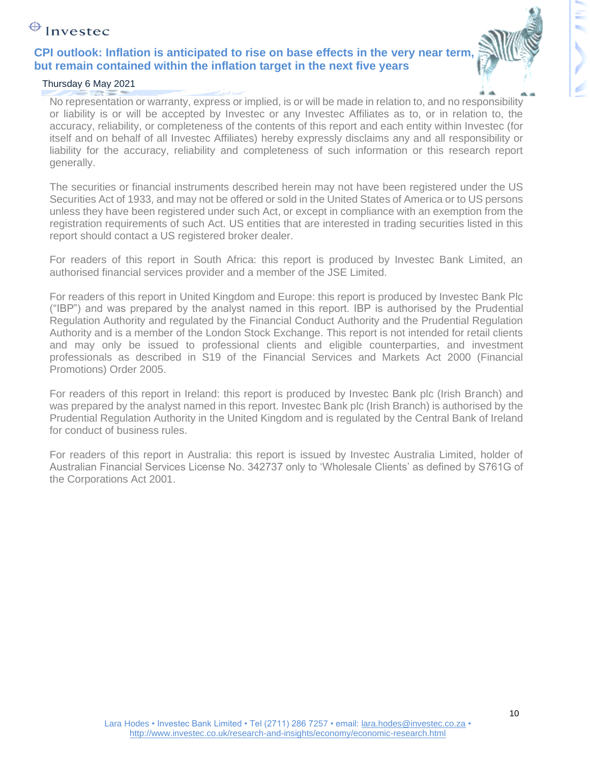### **CPI outlook: Inflation is anticipated to rise on base effects in the very near term, but remain contained within the inflation target in the next five years**

#### Thursday 6 May 2021

No representation or warranty, express or implied, is or will be made in relation to, and no responsibility or liability is or will be accepted by Investec or any Investec Affiliates as to, or in relation to, the accuracy, reliability, or completeness of the contents of this report and each entity within Investec (for itself and on behalf of all Investec Affiliates) hereby expressly disclaims any and all responsibility or liability for the accuracy, reliability and completeness of such information or this research report generally.

The securities or financial instruments described herein may not have been registered under the US Securities Act of 1933, and may not be offered or sold in the United States of America or to US persons unless they have been registered under such Act, or except in compliance with an exemption from the registration requirements of such Act. US entities that are interested in trading securities listed in this report should contact a US registered broker dealer.

For readers of this report in South Africa: this report is produced by Investec Bank Limited, an authorised financial services provider and a member of the JSE Limited.

For readers of this report in United Kingdom and Europe: this report is produced by Investec Bank Plc ("IBP") and was prepared by the analyst named in this report. IBP is authorised by the Prudential Regulation Authority and regulated by the Financial Conduct Authority and the Prudential Regulation Authority and is a member of the London Stock Exchange. This report is not intended for retail clients and may only be issued to professional clients and eligible counterparties, and investment professionals as described in S19 of the Financial Services and Markets Act 2000 (Financial Promotions) Order 2005.

For readers of this report in Ireland: this report is produced by Investec Bank plc (Irish Branch) and was prepared by the analyst named in this report. Investec Bank plc (Irish Branch) is authorised by the Prudential Regulation Authority in the United Kingdom and is regulated by the Central Bank of Ireland for conduct of business rules.

For readers of this report in Australia: this report is issued by Investec Australia Limited, holder of Australian Financial Services License No. 342737 only to 'Wholesale Clients' as defined by S761G of the Corporations Act 2001.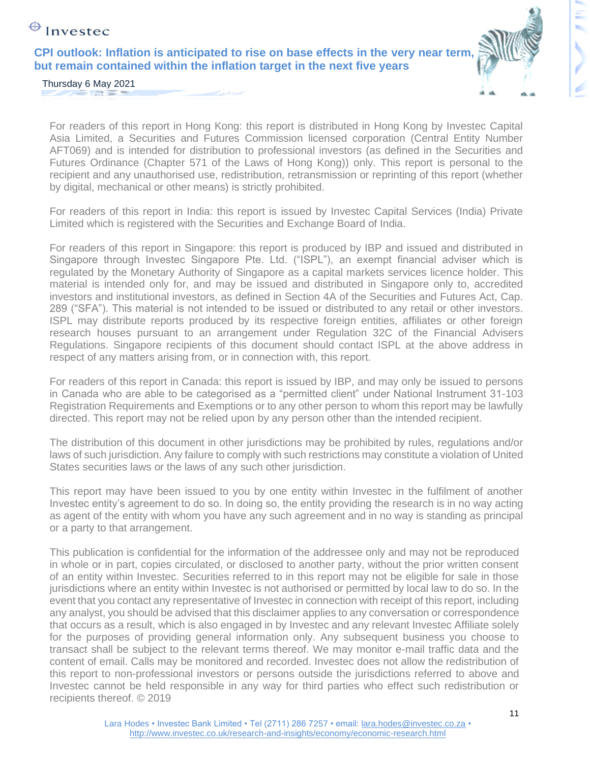**CPI outlook: Inflation is anticipated to rise on base effects in the very near term, but remain contained within the inflation target in the next five years** 



ŧ,

Thursday 6 May 2021  $\sim$   $^{13}$ 

For readers of this report in Hong Kong: this report is distributed in Hong Kong by Investec Capital Asia Limited, a Securities and Futures Commission licensed corporation (Central Entity Number AFT069) and is intended for distribution to professional investors (as defined in the Securities and Futures Ordinance (Chapter 571 of the Laws of Hong Kong)) only. This report is personal to the recipient and any unauthorised use, redistribution, retransmission or reprinting of this report (whether by digital, mechanical or other means) is strictly prohibited.

For readers of this report in India: this report is issued by Investec Capital Services (India) Private Limited which is registered with the Securities and Exchange Board of India.

For readers of this report in Singapore: this report is produced by IBP and issued and distributed in Singapore through Investec Singapore Pte. Ltd. ("ISPL"), an exempt financial adviser which is regulated by the Monetary Authority of Singapore as a capital markets services licence holder. This material is intended only for, and may be issued and distributed in Singapore only to, accredited investors and institutional investors, as defined in Section 4A of the Securities and Futures Act, Cap. 289 ("SFA"). This material is not intended to be issued or distributed to any retail or other investors. ISPL may distribute reports produced by its respective foreign entities, affiliates or other foreign research houses pursuant to an arrangement under Regulation 32C of the Financial Advisers Regulations. Singapore recipients of this document should contact ISPL at the above address in respect of any matters arising from, or in connection with, this report.

For readers of this report in Canada: this report is issued by IBP, and may only be issued to persons in Canada who are able to be categorised as a "permitted client" under National Instrument 31-103 Registration Requirements and Exemptions or to any other person to whom this report may be lawfully directed. This report may not be relied upon by any person other than the intended recipient.

The distribution of this document in other jurisdictions may be prohibited by rules, regulations and/or laws of such jurisdiction. Any failure to comply with such restrictions may constitute a violation of United States securities laws or the laws of any such other jurisdiction.

This report may have been issued to you by one entity within Investec in the fulfilment of another Investec entity's agreement to do so. In doing so, the entity providing the research is in no way acting as agent of the entity with whom you have any such agreement and in no way is standing as principal or a party to that arrangement.

This publication is confidential for the information of the addressee only and may not be reproduced in whole or in part, copies circulated, or disclosed to another party, without the prior written consent of an entity within Investec. Securities referred to in this report may not be eligible for sale in those jurisdictions where an entity within Investec is not authorised or permitted by local law to do so. In the event that you contact any representative of Investec in connection with receipt of this report, including any analyst, you should be advised that this disclaimer applies to any conversation or correspondence that occurs as a result, which is also engaged in by Investec and any relevant Investec Affiliate solely for the purposes of providing general information only. Any subsequent business you choose to transact shall be subject to the relevant terms thereof. We may monitor e-mail traffic data and the content of email. Calls may be monitored and recorded. Investec does not allow the redistribution of this report to non-professional investors or persons outside the jurisdictions referred to above and Investec cannot be held responsible in any way for third parties who effect such redistribution or recipients thereof. © 2019